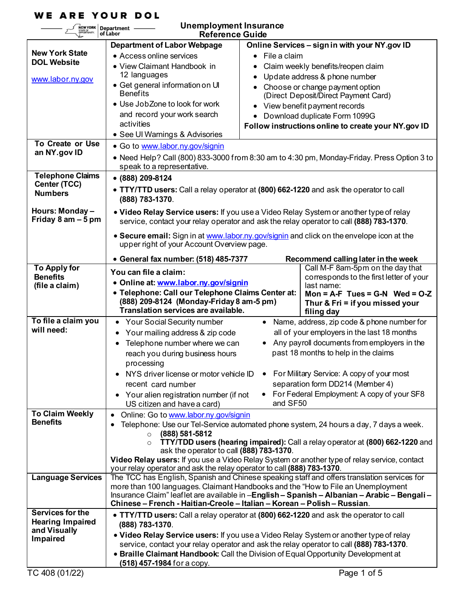# **WE ARE YOUR DOL**

# **Unemployment Insurance**

| Unemployment Insurance<br>NEW YORK<br>Department –<br>of Labor<br><b>Reference Guide</b>                                                                                |                                                                                                                                                                                                                                                                                                                                                                                               |                                                                                                                                                                                                                                                                                                                                                                                                                                                                                                                                                          |  |  |  |
|-------------------------------------------------------------------------------------------------------------------------------------------------------------------------|-----------------------------------------------------------------------------------------------------------------------------------------------------------------------------------------------------------------------------------------------------------------------------------------------------------------------------------------------------------------------------------------------|----------------------------------------------------------------------------------------------------------------------------------------------------------------------------------------------------------------------------------------------------------------------------------------------------------------------------------------------------------------------------------------------------------------------------------------------------------------------------------------------------------------------------------------------------------|--|--|--|
| <b>New York State</b><br><b>DOL Website</b><br>www.labor.ny.gov<br><b>To Create or Use</b><br>an NY.gov ID<br><b>Telephone Claims</b><br>Center (TCC)<br><b>Numbers</b> | <b>Department of Labor Webpage</b><br>• Access online services<br>• View Claimant Handbook in<br>12 languages<br>• Get general information on UI<br><b>Benefits</b><br>• Use Job Zone to look for work<br>and record your work search<br>activities<br>• See Ul Warnings & Advisories<br>· Go to www.labor.ny.gov/signin<br>speak to a representative.<br>• (888) 209-8124<br>(888) 783-1370. | Online Services - sign in with your NY.gov ID<br>File a claim<br>Claim weekly benefits/reopen claim<br>Update address & phone number<br>Choose or change payment option<br>(Direct Deposit/Direct Payment Card)<br>View benefit payment records<br>$\bullet$<br>Download duplicate Form 1099G<br>$\bullet$<br>Follow instructions online to create your NY.gov ID<br>• Need Help? Call (800) 833-3000 from 8:30 am to 4:30 pm, Monday-Friday. Press Option 3 to<br>• TTY/TTD users: Call a relay operator at (800) 662-1220 and ask the operator to call |  |  |  |
| Hours: Monday -<br>Friday 8 am - 5 pm                                                                                                                                   | • Video Relay Service users: If you use a Video Relay System or another type of relay                                                                                                                                                                                                                                                                                                         |                                                                                                                                                                                                                                                                                                                                                                                                                                                                                                                                                          |  |  |  |
|                                                                                                                                                                         | service, contact your relay operator and ask the relay operator to call (888) 783-1370.<br>• Secure email: Sign in at www.labor.ny.gov/signin and click on the envelope icon at the<br>upper right of your Account Overview page.                                                                                                                                                             |                                                                                                                                                                                                                                                                                                                                                                                                                                                                                                                                                          |  |  |  |
| <b>To Apply for</b>                                                                                                                                                     | • General fax number: (518) 485-7377                                                                                                                                                                                                                                                                                                                                                          | Recommend calling later in the week<br>Call M-F 8am-5pm on the day that                                                                                                                                                                                                                                                                                                                                                                                                                                                                                  |  |  |  |
| <b>Benefits</b>                                                                                                                                                         | You can file a claim:                                                                                                                                                                                                                                                                                                                                                                         | corresponds to the first letter of your                                                                                                                                                                                                                                                                                                                                                                                                                                                                                                                  |  |  |  |
| (file a claim)                                                                                                                                                          | · Online at: www.labor.ny.gov/signin                                                                                                                                                                                                                                                                                                                                                          | last name:                                                                                                                                                                                                                                                                                                                                                                                                                                                                                                                                               |  |  |  |
|                                                                                                                                                                         | · Telephone: Call our Telephone Claims Center at:<br>Mon = $A-F$ Tues = $G-N$ Wed = $O-Z$<br>(888) 209-8124 (Monday-Friday 8 am-5 pm)<br>Thur & Fri = if you missed your<br>Translation services are available.<br>filing day                                                                                                                                                                 |                                                                                                                                                                                                                                                                                                                                                                                                                                                                                                                                                          |  |  |  |
| To file a claim you                                                                                                                                                     | <b>Your Social Security number</b><br>$\bullet$                                                                                                                                                                                                                                                                                                                                               | • Name, address, zip code & phone number for                                                                                                                                                                                                                                                                                                                                                                                                                                                                                                             |  |  |  |
| will need:                                                                                                                                                              | Your mailing address & zip code<br>٠                                                                                                                                                                                                                                                                                                                                                          | all of your employers in the last 18 months                                                                                                                                                                                                                                                                                                                                                                                                                                                                                                              |  |  |  |
|                                                                                                                                                                         | Telephone number where we can<br>٠                                                                                                                                                                                                                                                                                                                                                            | Any payroll documents from employers in the                                                                                                                                                                                                                                                                                                                                                                                                                                                                                                              |  |  |  |
|                                                                                                                                                                         | reach you during business hours<br>processing                                                                                                                                                                                                                                                                                                                                                 | past 18 months to help in the claims                                                                                                                                                                                                                                                                                                                                                                                                                                                                                                                     |  |  |  |
|                                                                                                                                                                         | NYS driver license or motor vehicle ID<br>٠                                                                                                                                                                                                                                                                                                                                                   | For Military Service: A copy of your most                                                                                                                                                                                                                                                                                                                                                                                                                                                                                                                |  |  |  |
|                                                                                                                                                                         | recent card number                                                                                                                                                                                                                                                                                                                                                                            | separation form DD214 (Member 4)                                                                                                                                                                                                                                                                                                                                                                                                                                                                                                                         |  |  |  |
|                                                                                                                                                                         | • Your alien registration number (if not                                                                                                                                                                                                                                                                                                                                                      | For Federal Employment: A copy of your SF8                                                                                                                                                                                                                                                                                                                                                                                                                                                                                                               |  |  |  |
|                                                                                                                                                                         | US citizen and have a card)                                                                                                                                                                                                                                                                                                                                                                   | and SF50                                                                                                                                                                                                                                                                                                                                                                                                                                                                                                                                                 |  |  |  |
| <b>To Claim Weekly</b><br><b>Benefits</b>                                                                                                                               | Online: Go to www.labor.ny.gov/signin                                                                                                                                                                                                                                                                                                                                                         | Telephone: Use our Tel-Service automated phone system, 24 hours a day, 7 days a week.                                                                                                                                                                                                                                                                                                                                                                                                                                                                    |  |  |  |
|                                                                                                                                                                         | TTY/TDD users (hearing impaired): Call a relay operator at (800) 662-1220 and                                                                                                                                                                                                                                                                                                                 |                                                                                                                                                                                                                                                                                                                                                                                                                                                                                                                                                          |  |  |  |
|                                                                                                                                                                         | ask the operator to call (888) 783-1370.                                                                                                                                                                                                                                                                                                                                                      |                                                                                                                                                                                                                                                                                                                                                                                                                                                                                                                                                          |  |  |  |
|                                                                                                                                                                         | Video Relay users: If you use a Video Relay System or another type of relay service, contact<br>your relay operator and ask the relay operator to call (888) 783-1370.                                                                                                                                                                                                                        |                                                                                                                                                                                                                                                                                                                                                                                                                                                                                                                                                          |  |  |  |
| <b>Language Services</b>                                                                                                                                                | The TCC has English, Spanish and Chinese speaking staff and offers translation services for<br>more than 100 languages. Claimant Handbooks and the "How to File an Unemployment<br>Insurance Claim" leaflet are available in -English - Spanish - Albanian - Arabic - Bengali -<br>Chinese - French - Haitian-Creole - Italian - Korean - Polish - Russian.                                   |                                                                                                                                                                                                                                                                                                                                                                                                                                                                                                                                                          |  |  |  |
|                                                                                                                                                                         |                                                                                                                                                                                                                                                                                                                                                                                               |                                                                                                                                                                                                                                                                                                                                                                                                                                                                                                                                                          |  |  |  |
|                                                                                                                                                                         |                                                                                                                                                                                                                                                                                                                                                                                               |                                                                                                                                                                                                                                                                                                                                                                                                                                                                                                                                                          |  |  |  |
| Services for the                                                                                                                                                        |                                                                                                                                                                                                                                                                                                                                                                                               | • TTY/TTD users: Call a relay operator at (800) 662-1220 and ask the operator to call                                                                                                                                                                                                                                                                                                                                                                                                                                                                    |  |  |  |
| <b>Hearing Impaired</b><br>and Visually                                                                                                                                 | (888) 783-1370.                                                                                                                                                                                                                                                                                                                                                                               | . Video Relay Service users: If you use a Video Relay System or another type of relay                                                                                                                                                                                                                                                                                                                                                                                                                                                                    |  |  |  |
| <b>Impaired</b>                                                                                                                                                         |                                                                                                                                                                                                                                                                                                                                                                                               | service, contact your relay operator and ask the relay operator to call (888) 783-1370.                                                                                                                                                                                                                                                                                                                                                                                                                                                                  |  |  |  |
|                                                                                                                                                                         |                                                                                                                                                                                                                                                                                                                                                                                               | • Braille Claimant Handbook: Call the Division of Equal Opportunity Development at                                                                                                                                                                                                                                                                                                                                                                                                                                                                       |  |  |  |
| TC 408 (01/22)                                                                                                                                                          | (518) 457-1984 for a copy.                                                                                                                                                                                                                                                                                                                                                                    | Page 1 of 5                                                                                                                                                                                                                                                                                                                                                                                                                                                                                                                                              |  |  |  |
|                                                                                                                                                                         |                                                                                                                                                                                                                                                                                                                                                                                               |                                                                                                                                                                                                                                                                                                                                                                                                                                                                                                                                                          |  |  |  |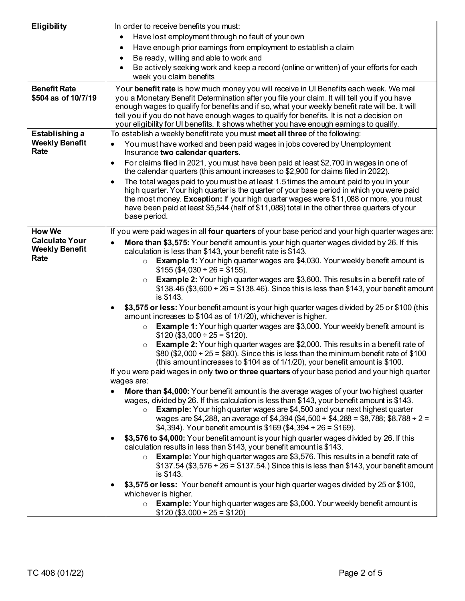| <b>Eligibility</b>                                     | In order to receive benefits you must:                                                                                                                                                                                                                                                                                                                                                                                                                                           |
|--------------------------------------------------------|----------------------------------------------------------------------------------------------------------------------------------------------------------------------------------------------------------------------------------------------------------------------------------------------------------------------------------------------------------------------------------------------------------------------------------------------------------------------------------|
|                                                        | Have lost employment through no fault of your own<br>$\bullet$                                                                                                                                                                                                                                                                                                                                                                                                                   |
|                                                        | Have enough prior earnings from employment to establish a claim<br>٠                                                                                                                                                                                                                                                                                                                                                                                                             |
|                                                        | Be ready, willing and able to work and<br>$\bullet$                                                                                                                                                                                                                                                                                                                                                                                                                              |
|                                                        | Be actively seeking work and keep a record (online or written) of your efforts for each<br>$\bullet$<br>week you claim benefits                                                                                                                                                                                                                                                                                                                                                  |
| <b>Benefit Rate</b><br>\$504 as of 10/7/19             | Your benefit rate is how much money you will receive in UI Benefits each week. We mail<br>you a Monetary Benefit Determination after you file your claim. It will tell you if you have<br>enough wages to qualify for benefits and if so, what your weekly benefit rate will be. It will<br>tell you if you do not have enough wages to qualify for benefits. It is not a decision on<br>your eligibility for UI benefits. It shows whether you have enough earnings to qualify. |
| Establishing a                                         | To establish a weekly benefit rate you must meet all three of the following:                                                                                                                                                                                                                                                                                                                                                                                                     |
| <b>Weekly Benefit</b><br>Rate                          | You must have worked and been paid wages in jobs covered by Unemployment<br>Insurance two calendar quarters.                                                                                                                                                                                                                                                                                                                                                                     |
|                                                        | For claims filed in 2021, you must have been paid at least \$2,700 in wages in one of<br>the calendar quarters (this amount increases to \$2,900 for claims filed in 2022).                                                                                                                                                                                                                                                                                                      |
|                                                        | The total wages paid to you must be at least 1.5 times the amount paid to you in your<br>high quarter. Your high quarter is the quarter of your base period in which you were paid<br>the most money. Exception: If your high quarter wages were \$11,088 or more, you must<br>have been paid at least \$5,544 (half of \$11,088) total in the other three quarters of your<br>base period.                                                                                      |
| <b>How We</b>                                          | If you were paid wages in all four quarters of your base period and your high quarter wages are:                                                                                                                                                                                                                                                                                                                                                                                 |
| <b>Calculate Your</b><br><b>Weekly Benefit</b><br>Rate | <b>More than \$3,575:</b> Your benefit amount is your high quarter wages divided by 26. If this<br>calculation is less than \$143, your benefit rate is \$143.<br><b>Example 1:</b> Your high quarter wages are \$4,030. Your weekly benefit amount is<br>$\circ$<br>$$155 ($4,030 \div 26 = $155)$ .<br><b>Example 2:</b> Your high quarter wages are \$3,600. This results in a benefit rate of<br>$\circ$                                                                     |
|                                                        | $$138.46 ($3,600 \div 26 = $138.46).$ Since this is less than \$143, your benefit amount<br>is \$143.                                                                                                                                                                                                                                                                                                                                                                            |
|                                                        | \$3,575 or less: Your benefit amount is your high quarter wages divided by 25 or \$100 (this<br>amount increases to \$104 as of 1/1/20), whichever is higher.                                                                                                                                                                                                                                                                                                                    |
|                                                        | <b>Example 1:</b> Your high quarter wages are \$3,000. Your weekly benefit amount is<br>$\circ$<br>$$120 ($3,000 \div 25 = $120).$                                                                                                                                                                                                                                                                                                                                               |
|                                                        | <b>Example 2:</b> Your high quarter wages are \$2,000. This results in a benefit rate of<br>$\circ$<br>\$80 (\$2,000 $\div$ 25 = \$80). Since this is less than the minimum benefit rate of \$100<br>(this amount increases to \$104 as of 1/1/20), your benefit amount is \$100.                                                                                                                                                                                                |
|                                                        | If you were paid wages in only two or three quarters of your base period and your high quarter<br>wages are:                                                                                                                                                                                                                                                                                                                                                                     |
|                                                        | More than \$4,000: Your benefit amount is the average wages of your two highest quarter<br>wages, divided by 26. If this calculation is less than \$143, your benefit amount is \$143.<br><b>Example:</b> Your high quarter wages are \$4,500 and your next highest quarter<br>$\circ$<br>wages are \$4,288, an average of \$4,394 (\$4,500 + \$4,288 = \$8,788; \$8,788 ÷ 2 =<br>\$4,394). Your benefit amount is \$169 (\$4,394 ÷ 26 = \$169).                                 |
|                                                        | \$3,576 to \$4,000: Your benefit amount is your high quarter wages divided by 26. If this<br>calculation results in less than \$143, your benefit amount is \$143.                                                                                                                                                                                                                                                                                                               |
|                                                        | <b>Example:</b> Your high quarter wages are \$3,576. This results in a benefit rate of<br>$\circ$<br>$$137.54 ($3,576 \div 26 = $137.54.)$ Since this is less than \$143, your benefit amount<br>is \$143.                                                                                                                                                                                                                                                                       |
|                                                        | \$3,575 or less: Your benefit amount is your high quarter wages divided by 25 or \$100,<br>whichever is higher.                                                                                                                                                                                                                                                                                                                                                                  |
|                                                        | <b>Example:</b> Your high quarter wages are \$3,000. Your weekly benefit amount is<br>$\circ$<br>$$120 ($3,000 \div 25 = $120)$                                                                                                                                                                                                                                                                                                                                                  |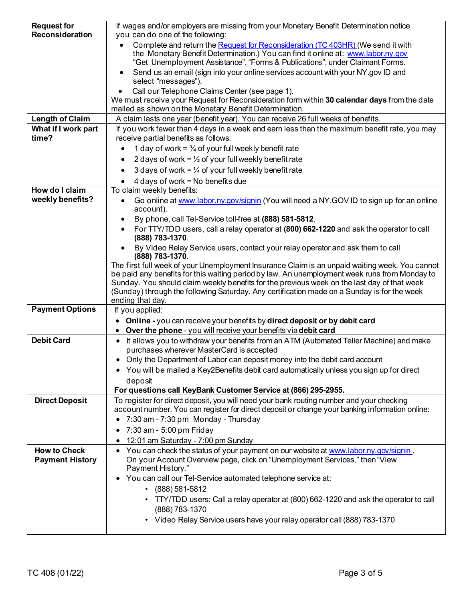| <b>Request for</b><br>Reconsideration | If wages and/or employers are missing from your Monetary Benefit Determination notice<br>you can do one of the following:                                                                                                                           |
|---------------------------------------|-----------------------------------------------------------------------------------------------------------------------------------------------------------------------------------------------------------------------------------------------------|
|                                       | Complete and return the Request for Reconsideration (TC 403HR) (We send it with<br>the Monetary Benefit Determination.) You can find it online at: www.labor.ny.gov<br>"Get Unemployment Assistance", "Forms & Publications", under Claimant Forms. |
|                                       | Send us an email (sign into your online services account with your NY gov ID and<br>select "messages").                                                                                                                                             |
|                                       | Call our Telephone Claims Center (see page 1).<br>We must receive your Request for Reconsideration form within 30 calendar days from the date                                                                                                       |
|                                       | mailed as shown on the Monetary Benefit Determination.                                                                                                                                                                                              |
| <b>Length of Claim</b>                | A claim lasts one year (benefit year). You can receive 26 full weeks of benefits.                                                                                                                                                                   |
| What if I work part                   | If you work fewer than 4 days in a week and earn less than the maximum benefit rate, you may                                                                                                                                                        |
| time?                                 | receive partial benefits as follows:                                                                                                                                                                                                                |
|                                       | 1 day of work = $\frac{3}{4}$ of your full weekly benefit rate                                                                                                                                                                                      |
|                                       | 2 days of work = $\frac{1}{2}$ of your full weekly benefit rate                                                                                                                                                                                     |
|                                       | 3 days of work = $\frac{1}{4}$ of your full weekly benefit rate<br>$\bullet$                                                                                                                                                                        |
|                                       | 4 days of work = No benefits due                                                                                                                                                                                                                    |
| How do I claim                        | To claim weekly benefits:                                                                                                                                                                                                                           |
| weekly benefits?                      | Go online at www.labor.nv.gov/signin (You will need a NY.GOV ID to sign up for an online<br>٠                                                                                                                                                       |
|                                       | account).                                                                                                                                                                                                                                           |
|                                       | By phone, call Tel-Service toll-free at (888) 581-5812.<br>٠                                                                                                                                                                                        |
|                                       | For TTY/TDD users, call a relay operator at (800) 662-1220 and ask the operator to call                                                                                                                                                             |
|                                       | (888) 783-1370.                                                                                                                                                                                                                                     |
|                                       | By Video Relay Service users, contact your relay operator and ask them to call<br>(888) 783-1370.                                                                                                                                                   |
|                                       | The first full week of your Unemployment Insurance Claim is an unpaid waiting week. You cannot                                                                                                                                                      |
|                                       | be paid any benefits for this waiting period by law. An unemployment week runs from Monday to                                                                                                                                                       |
|                                       | Sunday. You should claim weekly benefits for the previous week on the last day of that week                                                                                                                                                         |
|                                       | (Sunday) through the following Saturday. Any certification made on a Sunday is for the week<br>ending that day.                                                                                                                                     |
| <b>Payment Options</b>                | If you applied:                                                                                                                                                                                                                                     |
|                                       | • Online - you can receive your benefits by direct deposit or by debit card                                                                                                                                                                         |
|                                       | Over the phone - you will receive your benefits via debit card                                                                                                                                                                                      |
| <b>Debit Card</b>                     | It allows you to withdraw your benefits from an ATM (Automated Teller Machine) and make                                                                                                                                                             |
|                                       | purchases wherever MasterCard is accepted                                                                                                                                                                                                           |
|                                       | Only the Department of Labor can deposit money into the debit card account                                                                                                                                                                          |
|                                       | You will be mailed a Key2Benefits debit card automatically unless you sign up for direct                                                                                                                                                            |
|                                       | deposit                                                                                                                                                                                                                                             |
|                                       | For questions call KeyBank Customer Service at (866) 295-2955.                                                                                                                                                                                      |
| <b>Direct Deposit</b>                 | To register for direct deposit, you will need your bank routing number and your checking                                                                                                                                                            |
|                                       | account number. You can register for direct deposit or change your banking information online:                                                                                                                                                      |
|                                       | • 7:30 am - 7:30 pm Monday - Thursday                                                                                                                                                                                                               |
|                                       | 7:30 am - 5:00 pm Friday<br>$\bullet$                                                                                                                                                                                                               |
|                                       | 12:01 am Saturday - 7:00 pm Sunday                                                                                                                                                                                                                  |
| <b>How to Check</b>                   | You can check the status of your payment on our website at www.labor.ny.gov/signin.                                                                                                                                                                 |
| <b>Payment History</b>                | On your Account Overview page, click on "Unemployment Services," then "View<br>Payment History."                                                                                                                                                    |
|                                       | You can call our Tel-Service automated telephone service at:                                                                                                                                                                                        |
|                                       | (888) 581-5812<br>$\bullet$                                                                                                                                                                                                                         |
|                                       | TTY/TDD users: Call a relay operator at (800) 662-1220 and ask the operator to call                                                                                                                                                                 |
|                                       | (888) 783-1370                                                                                                                                                                                                                                      |
|                                       | Video Relay Service users have your relay operator call (888) 783-1370<br>$\bullet$                                                                                                                                                                 |
|                                       |                                                                                                                                                                                                                                                     |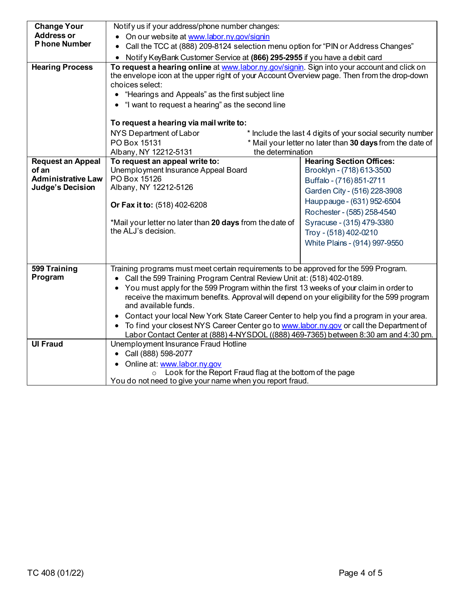| <b>Change Your</b>        | Notify us if your address/phone number changes:                                                                                                                                                                                                                                                                                      |                                                                                |  |  |  |
|---------------------------|--------------------------------------------------------------------------------------------------------------------------------------------------------------------------------------------------------------------------------------------------------------------------------------------------------------------------------------|--------------------------------------------------------------------------------|--|--|--|
| <b>Address or</b>         | • On our website at www.labor.ny.gov/signin                                                                                                                                                                                                                                                                                          |                                                                                |  |  |  |
| P hone Number             | Call the TCC at (888) 209-8124 selection menu option for "PIN or Address Changes"<br>$\bullet$                                                                                                                                                                                                                                       |                                                                                |  |  |  |
|                           | Notify KeyBank Customer Service at (866) 295-2955 if you have a debit card                                                                                                                                                                                                                                                           |                                                                                |  |  |  |
| <b>Hearing Process</b>    | To request a hearing online at www.labor.ny.gov/signin. Sign into your account and click on<br>the envelope icon at the upper right of your Account Overview page. Then from the drop-down<br>choices select:<br>• "Hearings and Appeals" as the first subject line<br>"I want to request a hearing" as the second line<br>$\bullet$ |                                                                                |  |  |  |
|                           | To request a hearing via mail write to:                                                                                                                                                                                                                                                                                              |                                                                                |  |  |  |
|                           |                                                                                                                                                                                                                                                                                                                                      |                                                                                |  |  |  |
|                           | NYS Department of Labor<br>* Include the last 4 digits of your social security number<br>PO Box 15131                                                                                                                                                                                                                                |                                                                                |  |  |  |
|                           | Albany, NY 12212-5131                                                                                                                                                                                                                                                                                                                | * Mail your letter no later than 30 days from the date of<br>the determination |  |  |  |
| <b>Request an Appeal</b>  | To request an appeal write to:                                                                                                                                                                                                                                                                                                       | <b>Hearing Section Offices:</b>                                                |  |  |  |
| of an                     | Unemployment Insurance Appeal Board                                                                                                                                                                                                                                                                                                  | Brooklyn - (718) 613-3500                                                      |  |  |  |
| <b>Administrative Law</b> | PO Box 15126                                                                                                                                                                                                                                                                                                                         | Buffalo - (716) 851-2711                                                       |  |  |  |
| <b>Judge's Decision</b>   | Albany, NY 12212-5126                                                                                                                                                                                                                                                                                                                | Garden City - (516) 228-3908                                                   |  |  |  |
|                           |                                                                                                                                                                                                                                                                                                                                      |                                                                                |  |  |  |
|                           | Or Fax it to: (518) 402-6208                                                                                                                                                                                                                                                                                                         | Hauppauge - (631) 952-6504                                                     |  |  |  |
|                           |                                                                                                                                                                                                                                                                                                                                      | Rochester - (585) 258-4540                                                     |  |  |  |
|                           | *Mail your letter no later than 20 days from the date of                                                                                                                                                                                                                                                                             | Syracuse - (315) 479-3380                                                      |  |  |  |
|                           | the ALJ's decision.                                                                                                                                                                                                                                                                                                                  | Troy - (518) 402-0210                                                          |  |  |  |
|                           |                                                                                                                                                                                                                                                                                                                                      | White Plains - (914) 997-9550                                                  |  |  |  |
|                           |                                                                                                                                                                                                                                                                                                                                      |                                                                                |  |  |  |
|                           |                                                                                                                                                                                                                                                                                                                                      |                                                                                |  |  |  |
| 599 Training              | Training programs must meet certain requirements to be approved for the 599 Program.                                                                                                                                                                                                                                                 |                                                                                |  |  |  |
| Program                   | Call the 599 Training Program Central Review Unit at: (518) 402-0189.                                                                                                                                                                                                                                                                |                                                                                |  |  |  |
|                           | You must apply for the 599 Program within the first 13 weeks of your claim in order to                                                                                                                                                                                                                                               |                                                                                |  |  |  |
|                           | receive the maximum benefits. Approval will depend on your eligibility for the 599 program<br>and available funds.                                                                                                                                                                                                                   |                                                                                |  |  |  |
|                           | Contact your local New York State Career Center to help you find a program in your area.<br>$\bullet$                                                                                                                                                                                                                                |                                                                                |  |  |  |
|                           | To find your closest NYS Career Center go to www.labor.ny.gov or call the Department of<br>$\bullet$                                                                                                                                                                                                                                 |                                                                                |  |  |  |
|                           | Labor Contact Center at (888) 4-NYSDOL ((888) 469-7365) between 8:30 am and 4:30 pm.                                                                                                                                                                                                                                                 |                                                                                |  |  |  |
| <b>UI Fraud</b>           | Unemployment Insurance Fraud Hotline                                                                                                                                                                                                                                                                                                 |                                                                                |  |  |  |
|                           | Call (888) 598-2077                                                                                                                                                                                                                                                                                                                  |                                                                                |  |  |  |
|                           | • Online at: www.labor.ny.gov                                                                                                                                                                                                                                                                                                        |                                                                                |  |  |  |
|                           | Look for the Report Fraud flag at the bottom of the page<br>$\circ$                                                                                                                                                                                                                                                                  |                                                                                |  |  |  |
|                           | You do not need to give your name when you report fraud.                                                                                                                                                                                                                                                                             |                                                                                |  |  |  |